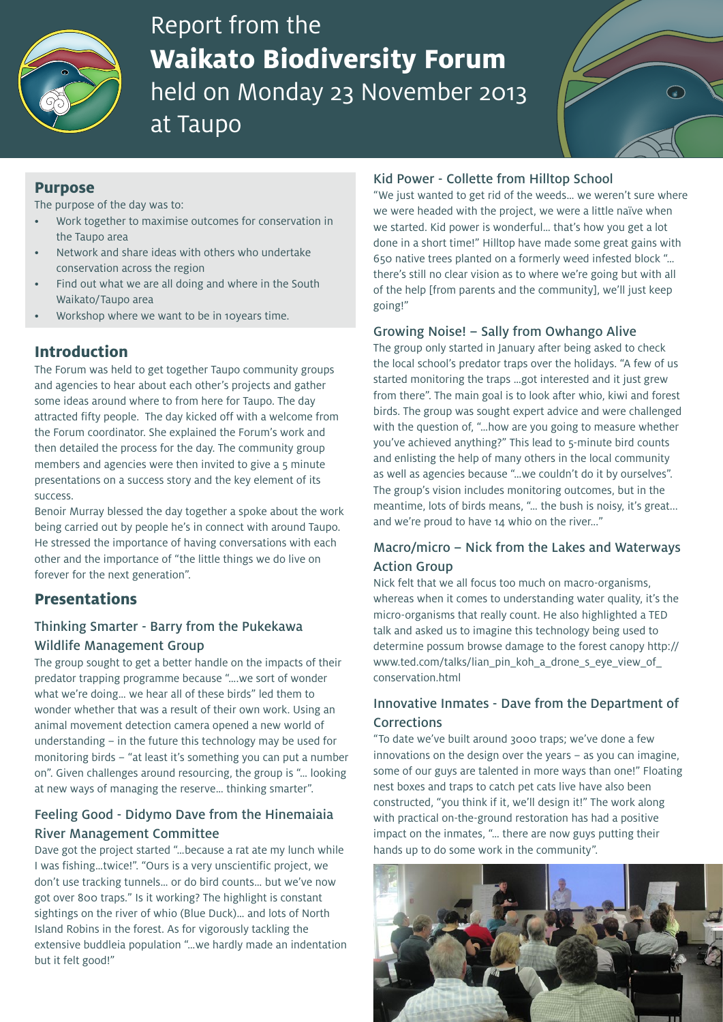

# Report from the **Waikato Biodiversity Forum** held on Monday 23 November 2013 at Taupo



## **Purpose**

The purpose of the day was to:

- Work together to maximise outcomes for conservation in the Taupo area
- Network and share ideas with others who undertake conservation across the region
- Find out what we are all doing and where in the South Waikato/Taupo area
- Workshop where we want to be in 10years time.

# **Introduction**

The Forum was held to get together Taupo community groups and agencies to hear about each other's projects and gather some ideas around where to from here for Taupo. The day attracted fifty people. The day kicked off with a welcome from the Forum coordinator. She explained the Forum's work and then detailed the process for the day. The community group members and agencies were then invited to give a 5 minute presentations on a success story and the key element of its success.

Benoir Murray blessed the day together a spoke about the work being carried out by people he's in connect with around Taupo. He stressed the importance of having conversations with each other and the importance of "the little things we do live on forever for the next generation".

## **Presentations**

## Thinking Smarter - Barry from the Pukekawa Wildlife Management Group

The group sought to get a better handle on the impacts of their predator trapping programme because "….we sort of wonder what we're doing… we hear all of these birds" led them to wonder whether that was a result of their own work. Using an animal movement detection camera opened a new world of understanding – in the future this technology may be used for monitoring birds – "at least it's something you can put a number on". Given challenges around resourcing, the group is "… looking at new ways of managing the reserve… thinking smarter".

# Feeling Good - Didymo Dave from the Hinemaiaia River Management Committee

Dave got the project started "…because a rat ate my lunch while I was fishing…twice!". "Ours is a very unscientific project, we don't use tracking tunnels… or do bird counts… but we've now got over 800 traps." Is it working? The highlight is constant sightings on the river of whio (Blue Duck)… and lots of North Island Robins in the forest. As for vigorously tackling the extensive buddleia population "…we hardly made an indentation but it felt good!"

#### Kid Power - Collette from Hilltop School

"We just wanted to get rid of the weeds… we weren't sure where we were headed with the project, we were a little naïve when we started. Kid power is wonderful… that's how you get a lot done in a short time!" Hilltop have made some great gains with 650 native trees planted on a formerly weed infested block "… there's still no clear vision as to where we're going but with all of the help [from parents and the community], we'll just keep going!"

#### Growing Noise! – Sally from Owhango Alive

The group only started in January after being asked to check the local school's predator traps over the holidays. "A few of us started monitoring the traps …got interested and it just grew from there". The main goal is to look after whio, kiwi and forest birds. The group was sought expert advice and were challenged with the question of, "…how are you going to measure whether you've achieved anything?" This lead to 5-minute bird counts and enlisting the help of many others in the local community as well as agencies because "…we couldn't do it by ourselves". The group's vision includes monitoring outcomes, but in the meantime, lots of birds means, "… the bush is noisy, it's great... and we're proud to have 14 whio on the river..."

## Macro/micro – Nick from the Lakes and Waterways Action Group

Nick felt that we all focus too much on macro-organisms, whereas when it comes to understanding water quality, it's the micro-organisms that really count. He also highlighted a TED talk and asked us to imagine this technology being used to determine possum browse damage to the forest canopy http:// www.ted.com/talks/lian\_pin\_koh\_a\_drone\_s\_eye\_view\_of\_ conservation.html

## Innovative Inmates - Dave from the Department of Corrections

"To date we've built around 3000 traps; we've done a few innovations on the design over the years – as you can imagine, some of our guys are talented in more ways than one!" Floating nest boxes and traps to catch pet cats live have also been constructed, "you think if it, we'll design it!" The work along with practical on-the-ground restoration has had a positive impact on the inmates, "… there are now guys putting their hands up to do some work in the community".

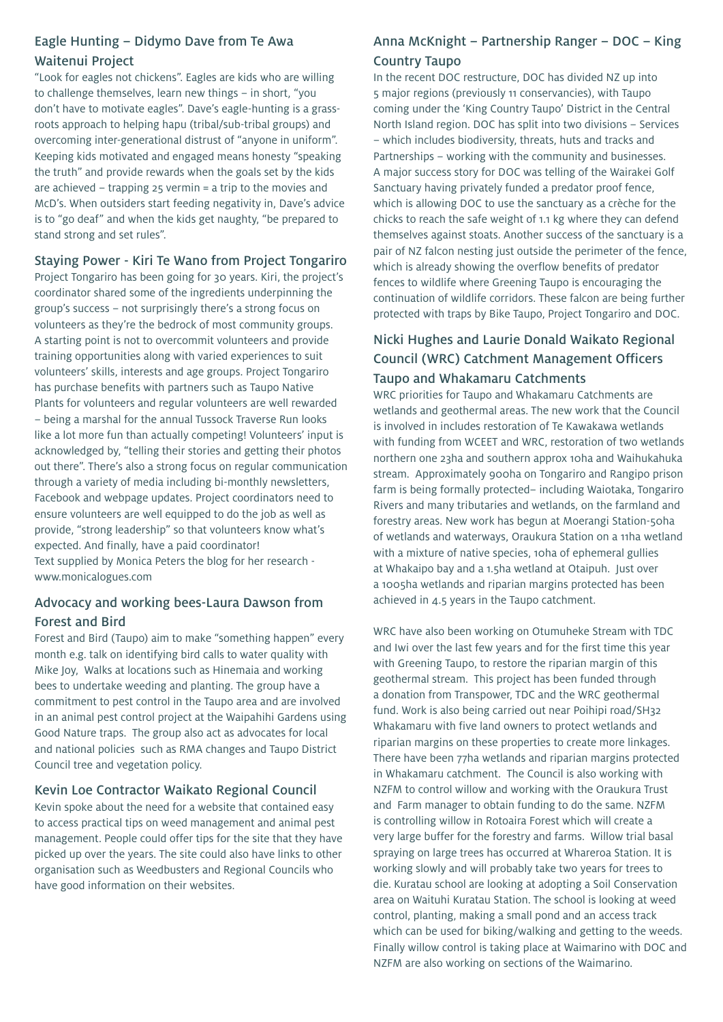## Eagle Hunting – Didymo Dave from Te Awa Waitenui Project

"Look for eagles not chickens". Eagles are kids who are willing to challenge themselves, learn new things – in short, "you don't have to motivate eagles". Dave's eagle-hunting is a grassroots approach to helping hapu (tribal/sub-tribal groups) and overcoming inter-generational distrust of "anyone in uniform". Keeping kids motivated and engaged means honesty "speaking the truth" and provide rewards when the goals set by the kids are achieved – trapping 25 vermin = a trip to the movies and McD's. When outsiders start feeding negativity in, Dave's advice is to "go deaf" and when the kids get naughty, "be prepared to stand strong and set rules".

#### Staying Power - Kiri Te Wano from Project Tongariro

Project Tongariro has been going for 30 years. Kiri, the project's coordinator shared some of the ingredients underpinning the group's success – not surprisingly there's a strong focus on volunteers as they're the bedrock of most community groups. A starting point is not to overcommit volunteers and provide training opportunities along with varied experiences to suit volunteers' skills, interests and age groups. Project Tongariro has purchase benefits with partners such as Taupo Native Plants for volunteers and regular volunteers are well rewarded – being a marshal for the annual Tussock Traverse Run looks like a lot more fun than actually competing! Volunteers' input is acknowledged by, "telling their stories and getting their photos out there". There's also a strong focus on regular communication through a variety of media including bi-monthly newsletters, Facebook and webpage updates. Project coordinators need to ensure volunteers are well equipped to do the job as well as provide, "strong leadership" so that volunteers know what's expected. And finally, have a paid coordinator! Text supplied by Monica Peters the blog for her research www.monicalogues.com

## Advocacy and working bees-Laura Dawson from Forest and Bird

Forest and Bird (Taupo) aim to make "something happen" every month e.g. talk on identifying bird calls to water quality with Mike Joy, Walks at locations such as Hinemaia and working bees to undertake weeding and planting. The group have a commitment to pest control in the Taupo area and are involved in an animal pest control project at the Waipahihi Gardens using Good Nature traps. The group also act as advocates for local and national policies such as RMA changes and Taupo District Council tree and vegetation policy.

## Kevin Loe Contractor Waikato Regional Council

Kevin spoke about the need for a website that contained easy to access practical tips on weed management and animal pest management. People could offer tips for the site that they have picked up over the years. The site could also have links to other organisation such as Weedbusters and Regional Councils who have good information on their websites.

## Anna McKnight – Partnership Ranger – DOC – King Country Taupo

In the recent DOC restructure, DOC has divided NZ up into 5 major regions (previously 11 conservancies), with Taupo coming under the 'King Country Taupo' District in the Central North Island region. DOC has split into two divisions – Services – which includes biodiversity, threats, huts and tracks and Partnerships – working with the community and businesses. A major success story for DOC was telling of the Wairakei Golf Sanctuary having privately funded a predator proof fence, which is allowing DOC to use the sanctuary as a crèche for the chicks to reach the safe weight of 1.1 kg where they can defend themselves against stoats. Another success of the sanctuary is a pair of NZ falcon nesting just outside the perimeter of the fence, which is already showing the overflow benefits of predator fences to wildlife where Greening Taupo is encouraging the continuation of wildlife corridors. These falcon are being further protected with traps by Bike Taupo, Project Tongariro and DOC.

# Nicki Hughes and Laurie Donald Waikato Regional Council (WRC) Catchment Management Officers Taupo and Whakamaru Catchments

WRC priorities for Taupo and Whakamaru Catchments are wetlands and geothermal areas. The new work that the Council is involved in includes restoration of Te Kawakawa wetlands with funding from WCEET and WRC, restoration of two wetlands northern one 23ha and southern approx 10ha and Waihukahuka stream. Approximately 900ha on Tongariro and Rangipo prison farm is being formally protected– including Waiotaka, Tongariro Rivers and many tributaries and wetlands, on the farmland and forestry areas. New work has begun at Moerangi Station-50ha of wetlands and waterways, Oraukura Station on a 11ha wetland with a mixture of native species, 10ha of ephemeral gullies at Whakaipo bay and a 1.5ha wetland at Otaipuh. Just over a 1005ha wetlands and riparian margins protected has been achieved in 4.5 years in the Taupo catchment.

WRC have also been working on Otumuheke Stream with TDC and Iwi over the last few years and for the first time this year with Greening Taupo, to restore the riparian margin of this geothermal stream. This project has been funded through a donation from Transpower, TDC and the WRC geothermal fund. Work is also being carried out near Poihipi road/SH32 Whakamaru with five land owners to protect wetlands and riparian margins on these properties to create more linkages. There have been 77ha wetlands and riparian margins protected in Whakamaru catchment. The Council is also working with NZFM to control willow and working with the Oraukura Trust and Farm manager to obtain funding to do the same. NZFM is controlling willow in Rotoaira Forest which will create a very large buffer for the forestry and farms. Willow trial basal spraying on large trees has occurred at Whareroa Station. It is working slowly and will probably take two years for trees to die. Kuratau school are looking at adopting a Soil Conservation area on Waituhi Kuratau Station. The school is looking at weed control, planting, making a small pond and an access track which can be used for biking/walking and getting to the weeds. Finally willow control is taking place at Waimarino with DOC and NZFM are also working on sections of the Waimarino.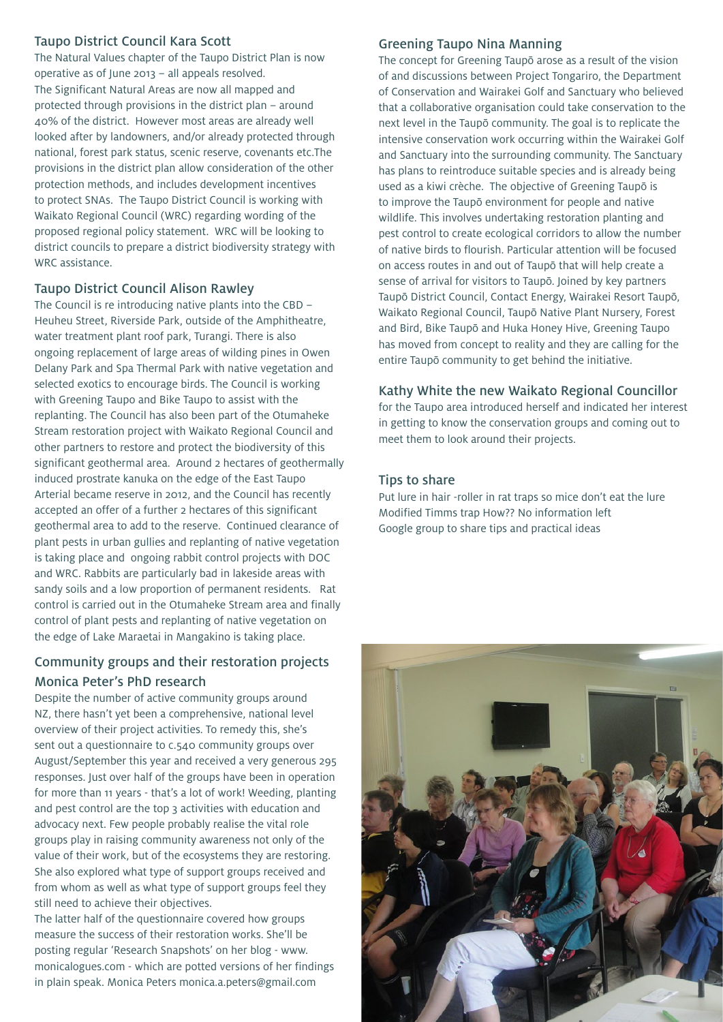#### Taupo District Council Kara Scott

The Natural Values chapter of the Taupo District Plan is now operative as of June 2013 – all appeals resolved. The Significant Natural Areas are now all mapped and protected through provisions in the district plan – around 40% of the district. However most areas are already well looked after by landowners, and/or already protected through national, forest park status, scenic reserve, covenants etc.The provisions in the district plan allow consideration of the other protection methods, and includes development incentives to protect SNAs. The Taupo District Council is working with Waikato Regional Council (WRC) regarding wording of the proposed regional policy statement. WRC will be looking to district councils to prepare a district biodiversity strategy with WRC assistance.

#### Taupo District Council Alison Rawley

The Council is re introducing native plants into the CBD – Heuheu Street, Riverside Park, outside of the Amphitheatre, water treatment plant roof park, Turangi. There is also ongoing replacement of large areas of wilding pines in Owen Delany Park and Spa Thermal Park with native vegetation and selected exotics to encourage birds. The Council is working with Greening Taupo and Bike Taupo to assist with the replanting. The Council has also been part of the Otumaheke Stream restoration project with Waikato Regional Council and other partners to restore and protect the biodiversity of this significant geothermal area. Around 2 hectares of geothermally induced prostrate kanuka on the edge of the East Taupo Arterial became reserve in 2012, and the Council has recently accepted an offer of a further 2 hectares of this significant geothermal area to add to the reserve. Continued clearance of plant pests in urban gullies and replanting of native vegetation is taking place and ongoing rabbit control projects with DOC and WRC. Rabbits are particularly bad in lakeside areas with sandy soils and a low proportion of permanent residents. Rat control is carried out in the Otumaheke Stream area and finally control of plant pests and replanting of native vegetation on the edge of Lake Maraetai in Mangakino is taking place.

# Community groups and their restoration projects Monica Peter's PhD research

Despite the number of active community groups around NZ, there hasn't yet been a comprehensive, national level overview of their project activities. To remedy this, she's sent out a questionnaire to c.540 community groups over August/September this year and received a very generous 295 responses. Just over half of the groups have been in operation for more than 11 years - that's a lot of work! Weeding, planting and pest control are the top 3 activities with education and advocacy next. Few people probably realise the vital role groups play in raising community awareness not only of the value of their work, but of the ecosystems they are restoring. She also explored what type of support groups received and from whom as well as what type of support groups feel they still need to achieve their objectives.

The latter half of the questionnaire covered how groups measure the success of their restoration works. She'll be posting regular 'Research Snapshots' on her blog - www. monicalogues.com - which are potted versions of her findings in plain speak. Monica Peters monica.a.peters@gmail.com

## Greening Taupo Nina Manning

The concept for Greening Taupō arose as a result of the vision of and discussions between Project Tongariro, the Department of Conservation and Wairakei Golf and Sanctuary who believed that a collaborative organisation could take conservation to the next level in the Taupō community. The goal is to replicate the intensive conservation work occurring within the Wairakei Golf and Sanctuary into the surrounding community. The Sanctuary has plans to reintroduce suitable species and is already being used as a kiwi crèche. The objective of Greening Taupō is to improve the Taupō environment for people and native wildlife. This involves undertaking restoration planting and pest control to create ecological corridors to allow the number of native birds to flourish. Particular attention will be focused on access routes in and out of Taupō that will help create a sense of arrival for visitors to Taupō. Joined by key partners Taupō District Council, Contact Energy, Wairakei Resort Taupō, Waikato Regional Council, Taupō Native Plant Nursery, Forest and Bird, Bike Taupō and Huka Honey Hive, Greening Taupo has moved from concept to reality and they are calling for the entire Taupō community to get behind the initiative.

## Kathy White the new Waikato Regional Councillor

for the Taupo area introduced herself and indicated her interest in getting to know the conservation groups and coming out to meet them to look around their projects.

## Tips to share

Put lure in hair -roller in rat traps so mice don't eat the lure Modified Timms trap How?? No information left Google group to share tips and practical ideas

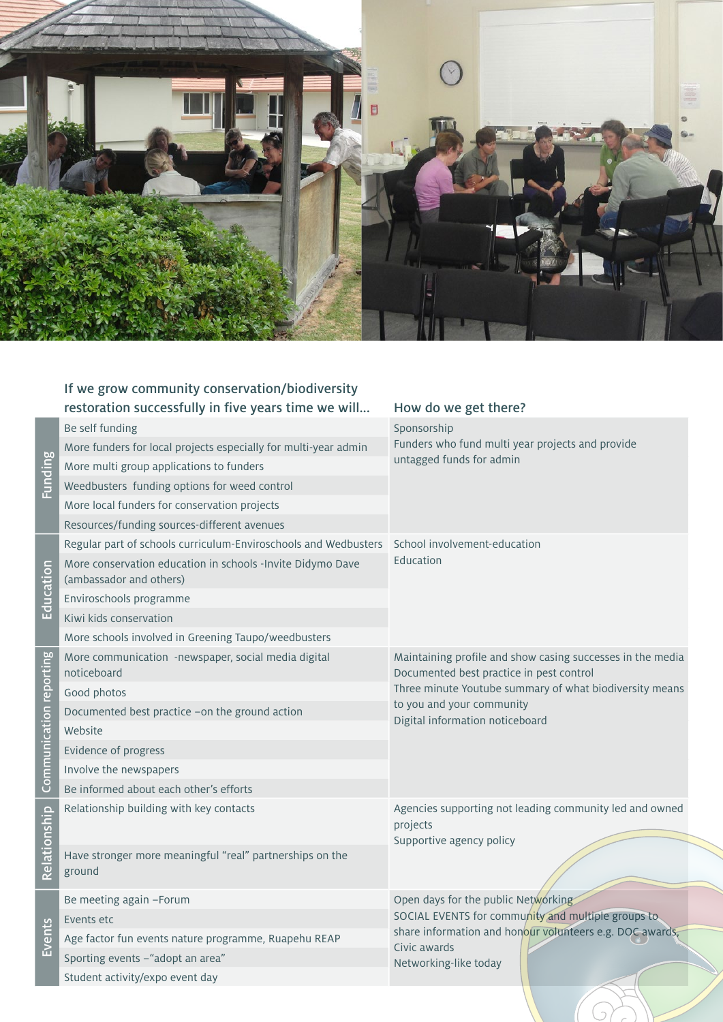

|                         | If we grow community conservation/biodiversity                                        |                                                                                                                                                                                                                                   |
|-------------------------|---------------------------------------------------------------------------------------|-----------------------------------------------------------------------------------------------------------------------------------------------------------------------------------------------------------------------------------|
|                         | restoration successfully in five years time we will                                   | How do we get there?                                                                                                                                                                                                              |
| <b>Funding</b>          | Be self funding                                                                       | Sponsorship<br>Funders who fund multi year projects and provide<br>untagged funds for admin                                                                                                                                       |
|                         | More funders for local projects especially for multi-year admin                       |                                                                                                                                                                                                                                   |
|                         | More multi group applications to funders                                              |                                                                                                                                                                                                                                   |
|                         | Weedbusters funding options for weed control                                          |                                                                                                                                                                                                                                   |
|                         | More local funders for conservation projects                                          |                                                                                                                                                                                                                                   |
|                         | Resources/funding sources-different avenues                                           |                                                                                                                                                                                                                                   |
| Education               | Regular part of schools curriculum-Enviroschools and Wedbusters                       | School involvement-education<br>Education                                                                                                                                                                                         |
|                         | More conservation education in schools -Invite Didymo Dave<br>(ambassador and others) |                                                                                                                                                                                                                                   |
|                         | Enviroschools programme                                                               |                                                                                                                                                                                                                                   |
|                         | Kiwi kids conservation                                                                |                                                                                                                                                                                                                                   |
|                         | More schools involved in Greening Taupo/weedbusters                                   |                                                                                                                                                                                                                                   |
| Communication reporting | More communication -newspaper, social media digital<br>noticeboard                    | Maintaining profile and show casing successes in the media<br>Documented best practice in pest control<br>Three minute Youtube summary of what biodiversity means<br>to you and your community<br>Digital information noticeboard |
|                         | Good photos                                                                           |                                                                                                                                                                                                                                   |
|                         | Documented best practice -on the ground action                                        |                                                                                                                                                                                                                                   |
|                         | Website                                                                               |                                                                                                                                                                                                                                   |
|                         | Evidence of progress                                                                  |                                                                                                                                                                                                                                   |
|                         | Involve the newspapers                                                                |                                                                                                                                                                                                                                   |
|                         | Be informed about each other's efforts                                                |                                                                                                                                                                                                                                   |
| Relationship            | Relationship building with key contacts                                               | Agencies supporting not leading community led and owned<br>projects<br>Supportive agency policy                                                                                                                                   |
|                         | Have stronger more meaningful "real" partnerships on the<br>ground                    |                                                                                                                                                                                                                                   |
| Events                  | Be meeting again -Forum                                                               | Open days for the public Networking<br>SOCIAL EVENTS for community and multiple groups to<br>share information and honour volunteers e.g. DOC awards,<br>Civic awards<br>Networking-like today                                    |
|                         | Events etc                                                                            |                                                                                                                                                                                                                                   |
|                         | Age factor fun events nature programme, Ruapehu REAP                                  |                                                                                                                                                                                                                                   |
|                         | Sporting events -"adopt an area"                                                      |                                                                                                                                                                                                                                   |
|                         | Student activity/expo event day                                                       |                                                                                                                                                                                                                                   |

 $\overline{)}$